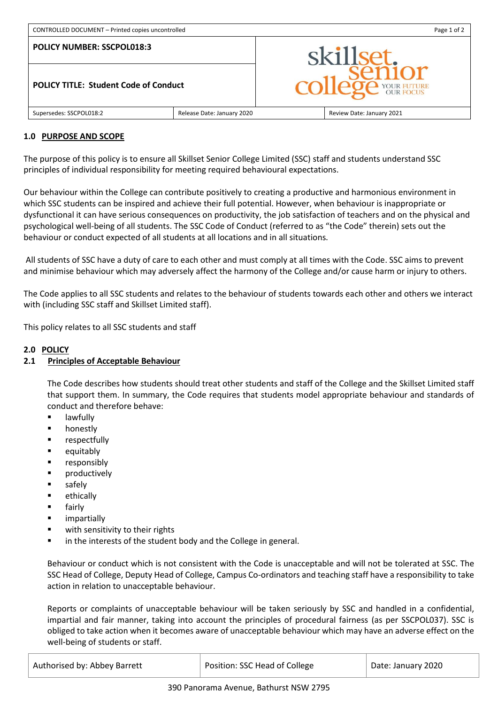| CONTROLLED DOCUMENT - Printed copies uncontrolled |                            | Page 1 of 2                              |                           |
|---------------------------------------------------|----------------------------|------------------------------------------|---------------------------|
| <b>POLICY NUMBER: SSCPOL018:3</b>                 |                            | skillset.<br><b>OP</b> YOUR FUTURE<br>CC |                           |
| <b>POLICY TITLE: Student Code of Conduct</b>      |                            |                                          |                           |
| Supersedes: SSCPOL018:2                           | Release Date: January 2020 |                                          | Review Date: January 2021 |

#### **1.0 PURPOSE AND SCOPE**

The purpose of this policy is to ensure all Skillset Senior College Limited (SSC) staff and students understand SSC principles of individual responsibility for meeting required behavioural expectations.

Our behaviour within the College can contribute positively to creating a productive and harmonious environment in which SSC students can be inspired and achieve their full potential. However, when behaviour is inappropriate or dysfunctional it can have serious consequences on productivity, the job satisfaction of teachers and on the physical and psychological well-being of all students. The SSC Code of Conduct (referred to as "the Code" therein) sets out the behaviour or conduct expected of all students at all locations and in all situations.

All students of SSC have a duty of care to each other and must comply at all times with the Code. SSC aims to prevent and minimise behaviour which may adversely affect the harmony of the College and/or cause harm or injury to others.

The Code applies to all SSC students and relates to the behaviour of students towards each other and others we interact with (including SSC staff and Skillset Limited staff).

This policy relates to all SSC students and staff

# **2.0 POLICY**

## **2.1 Principles of Acceptable Behaviour**

The Code describes how students should treat other students and staff of the College and the Skillset Limited staff that support them. In summary, the Code requires that students model appropriate behaviour and standards of conduct and therefore behave:

- lawfully
- honestly
- **respectfully**
- **equitably**
- **EXECUTE: responsibly**
- **•** productively
- safely
- **E** ethically
- **fairly**
- **u** impartially
- **u** with sensitivity to their rights
- in the interests of the student body and the College in general.

Behaviour or conduct which is not consistent with the Code is unacceptable and will not be tolerated at SSC. The SSC Head of College, Deputy Head of College, Campus Co-ordinators and teaching staff have a responsibility to take action in relation to unacceptable behaviour.

Reports or complaints of unacceptable behaviour will be taken seriously by SSC and handled in a confidential, impartial and fair manner, taking into account the principles of procedural fairness (as per SSCPOL037). SSC is obliged to take action when it becomes aware of unacceptable behaviour which may have an adverse effect on the well-being of students or staff.

| Authorised by: Abbey Barrett | Position: SSC Head of College | Date: January 2020 |
|------------------------------|-------------------------------|--------------------|
|                              |                               |                    |